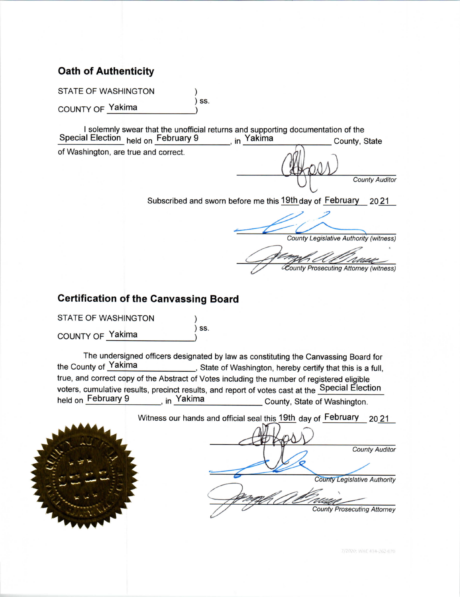### **Oath of Authenticity**

**STATE OF WASHINGTON**  $)$  SS.

COUNTY OF Yakima

I solemnly swear that the unofficial returns and supporting documentation of the in Yakima Special Election held on February 9 County, State of Washington, are true and correct.

**County Auditor** 

Subscribed and sworn before me this 19th day of February 2021

County Legislative Authority (witness)

County Prosecuting Attorney (witness)

### **Certification of the Canvassing Board**

**STATE OF WASHINGTON**  $)$  SS. COUNTY OF Yakima

The undersigned officers designated by law as constituting the Canvassing Board for the County of Yakima \_, State of Washington, hereby certify that this is a full, true, and correct copy of the Abstract of Votes including the number of registered eligible voters, cumulative results, precinct results, and report of votes cast at the Special Election held on February 9 <sub>in</sub> Yakima County, State of Washington.



7/2020; WAC 434-262-070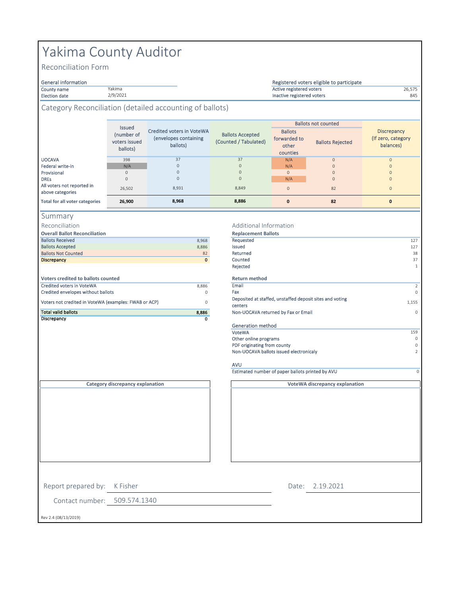# Yakima County Auditor

Yakima 2/9/2021

Reconciliation Form

# General information<br>County name

#### County name 26,575 Active registered voters Election date **845** and the settlement of the SAS and the Control of the SAS and the SAS and the SAS and the SAS Registered voters eligible to participate

### Category Reconciliation (detailed accounting of ballots)

|                                                | <b>Issued</b><br>(number of<br>voters issued<br>ballots) | Credited voters in VoteWA<br>(envelopes containing<br>ballots) | <b>Ballots Accepted</b><br>(Counted / Tabulated) | <b>Ballots</b><br>forwarded to<br>other<br>counties | <b>Ballots not counted</b><br><b>Ballots Rejected</b> | <b>Discrepancy</b><br>(If zero, category)<br>balances) |
|------------------------------------------------|----------------------------------------------------------|----------------------------------------------------------------|--------------------------------------------------|-----------------------------------------------------|-------------------------------------------------------|--------------------------------------------------------|
| <b>UOCAVA</b>                                  | 398                                                      | 37                                                             | 37                                               | N/A                                                 | $\circ$                                               | $\mathbf{0}$                                           |
| Federal write-in                               | N/A                                                      | $\Omega$                                                       | $\mathbf{0}$                                     | N/A                                                 | $\mathbf{0}$                                          | $\Omega$                                               |
| Provisional                                    | 0                                                        | $\Omega$                                                       | $\Omega$                                         | $\mathbf{0}$                                        | $\mathbf{0}$                                          | $\mathbf{0}$                                           |
| <b>DREs</b>                                    | $\Omega$                                                 | $\Omega$                                                       | $\Omega$                                         | N/A                                                 | $\mathbf{0}$                                          | $\Omega$                                               |
| All voters not reported in<br>above categories | 26.502                                                   | 8,931                                                          | 8,849                                            | $\Omega$                                            | 82                                                    | $\overline{0}$                                         |
| Total for all voter categories                 | 26,900                                                   | 8,968                                                          | 8,886                                            | $\mathbf{0}$                                        | 82                                                    | 0                                                      |

| п. | ΓT<br>۱ |  | Ξ<br>ıн |  |
|----|---------|--|---------|--|
|----|---------|--|---------|--|

Reconciliation

| <b>Ballots Received</b>                               | 8,968   | Requested       |
|-------------------------------------------------------|---------|-----------------|
| <b>Ballots Accepted</b>                               | 8,886   | Issued          |
| <b>Ballots Not Counted</b>                            | 82      | Returned        |
| <b>Discrepancy</b>                                    | $\circ$ | Counted         |
|                                                       |         | Rejected        |
|                                                       |         |                 |
| Voters credited to ballots counted                    |         | <b>Return m</b> |
| <b>Credited voters in VoteWA</b>                      | 8.886   | Email           |
| Credited envelopes without ballots                    | 0       | Fax             |
| Voters not credited in VoteWA (examples: FWAB or ACP) |         | Deposited       |
|                                                       | 0       |                 |

#### Additional Information

| <b>Overall Ballot Reconciliation</b>                  |         | <b>Replacement Ballots</b>                                          |          |
|-------------------------------------------------------|---------|---------------------------------------------------------------------|----------|
| <b>Ballots Received</b>                               | 8,968   | Requested                                                           | 127      |
| <b>Ballots Accepted</b>                               | 8,886   | Issued                                                              | 127      |
| <b>Ballots Not Counted</b>                            | 82      | Returned                                                            | 38       |
| <b>Discrepancy</b>                                    | $\circ$ | Counted                                                             | 37       |
|                                                       |         | Rejected                                                            | -1       |
| <b>Voters credited to ballots counted</b>             |         | <b>Return method</b>                                                |          |
| <b>Credited voters in VoteWA</b>                      | 8,886   | Email                                                               | 2        |
| Credited envelopes without ballots                    | $\circ$ | Fax                                                                 | $\circ$  |
| Voters not credited in VoteWA (examples: FWAB or ACP) | $\circ$ | Deposited at staffed, unstaffed deposit sites and voting<br>centers | 1,155    |
| <b>Total valid ballots</b>                            | 8,886   | Non-UOCAVA returned by Fax or Email                                 | $\Omega$ |
| Discrepancy                                           | 0       |                                                                     |          |
|                                                       |         | Generation method                                                   |          |
|                                                       |         | VoteWA                                                              | 159      |
|                                                       |         | Other online programs                                               | $\Omega$ |
|                                                       |         | PDF originating from county                                         | $\Omega$ |
|                                                       |         | Non-UOCAVA ballots issued electronicaly                             | 2        |
|                                                       |         |                                                                     |          |

**VoteWA discrepancy explanation**

#### AVU

Estimated number of paper ballots printed by AVU

**Category discrepancy explanation**

Report prepared by: K Fisher

2.19.2021 Date:

Contact number: 509.574.1340

Rev 2.4 (08/13/2019)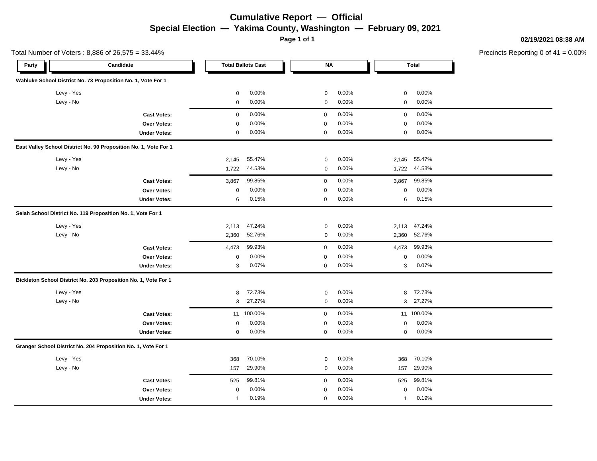### **Cumulative Report — Official Special Election — Yakima County, Washington — February 09, 2021**

**Page 1 of 1**

**02/19/2021 08:38 AM**

Precincts Reporting 0 of 41 = 0.00%

|            | Total Number of Voters: 8,886 of 26,575 = 33.44%                 |                |                           |             |          |              |              | Precincts Reporting 0 of |
|------------|------------------------------------------------------------------|----------------|---------------------------|-------------|----------|--------------|--------------|--------------------------|
| Party      | Candidate                                                        |                | <b>Total Ballots Cast</b> | ΝA          |          |              | <b>Total</b> |                          |
|            | Wahluke School District No. 73 Proposition No. 1, Vote For 1     |                |                           |             |          |              |              |                          |
| Levy - Yes |                                                                  | $\mathbf 0$    | 0.00%                     | 0           | 0.00%    | $\mathbf 0$  | 0.00%        |                          |
| Levy - No  |                                                                  | $\mathbf 0$    | 0.00%                     | 0           | 0.00%    | $\mathbf 0$  | 0.00%        |                          |
|            | <b>Cast Votes:</b>                                               | 0              | 0.00%                     | $\mathbf 0$ | 0.00%    | $\mathbf 0$  | 0.00%        |                          |
|            | Over Votes:                                                      | $\mathbf 0$    | 0.00%                     | $\mathbf 0$ | $0.00\%$ | 0            | 0.00%        |                          |
|            | <b>Under Votes:</b>                                              | $\mathbf 0$    | 0.00%                     | $\mathbf 0$ | 0.00%    | $\mathbf 0$  | 0.00%        |                          |
|            | East Valley School District No. 90 Proposition No. 1, Vote For 1 |                |                           |             |          |              |              |                          |
| Levy - Yes |                                                                  | 2,145          | 55.47%                    | 0           | 0.00%    | 2,145        | 55.47%       |                          |
| Levy - No  |                                                                  | 1,722          | 44.53%                    | 0           | 0.00%    | 1,722        | 44.53%       |                          |
|            | <b>Cast Votes:</b>                                               | 3,867          | 99.85%                    | $\mathbf 0$ | 0.00%    | 3,867        | 99.85%       |                          |
|            | Over Votes:                                                      | $\mathbf 0$    | 0.00%                     | $\mathbf 0$ | 0.00%    | 0            | 0.00%        |                          |
|            | <b>Under Votes:</b>                                              | 6              | 0.15%                     | $\mathbf 0$ | 0.00%    | 6            | 0.15%        |                          |
|            | Selah School District No. 119 Proposition No. 1, Vote For 1      |                |                           |             |          |              |              |                          |
| Levy - Yes |                                                                  | 2,113          | 47.24%                    | 0           | 0.00%    | 2,113        | 47.24%       |                          |
| Levy - No  |                                                                  | 2,360          | 52.76%                    | 0           | 0.00%    | 2,360        | 52.76%       |                          |
|            | <b>Cast Votes:</b>                                               | 4,473          | 99.93%                    | 0           | 0.00%    | 4,473        | 99.93%       |                          |
|            | Over Votes:                                                      | $\mathbf 0$    | 0.00%                     | $\pmb{0}$   | 0.00%    | $\pmb{0}$    | 0.00%        |                          |
|            | <b>Under Votes:</b>                                              | 3              | 0.07%                     | $\mathbf 0$ | 0.00%    | 3            | 0.07%        |                          |
|            | Bickleton School District No. 203 Proposition No. 1, Vote For 1  |                |                           |             |          |              |              |                          |
| Levy - Yes |                                                                  | 8              | 72.73%                    | 0           | 0.00%    | 8            | 72.73%       |                          |
| Levy - No  |                                                                  | 3              | 27.27%                    | 0           | 0.00%    | 3            | 27.27%       |                          |
|            | <b>Cast Votes:</b>                                               |                | 11 100.00%                | $\mathbf 0$ | 0.00%    |              | 11 100.00%   |                          |
|            | Over Votes:                                                      | $\mathbf 0$    | 0.00%                     | $\mathbf 0$ | 0.00%    | 0            | 0.00%        |                          |
|            | <b>Under Votes:</b>                                              | 0              | 0.00%                     | 0           | 0.00%    | $\mathbf 0$  | 0.00%        |                          |
|            | Granger School District No. 204 Proposition No. 1, Vote For 1    |                |                           |             |          |              |              |                          |
| Levy - Yes |                                                                  | 368            | 70.10%                    | 0           | 0.00%    | 368          | 70.10%       |                          |
| Levy - No  |                                                                  | 157            | 29.90%                    | $\mathbf 0$ | 0.00%    | 157          | 29.90%       |                          |
|            | <b>Cast Votes:</b>                                               | 525            | 99.81%                    | 0           | 0.00%    | 525          | 99.81%       |                          |
|            | Over Votes:                                                      | 0              | 0.00%                     | 0           | 0.00%    | 0            | 0.00%        |                          |
|            | <b>Under Votes:</b>                                              | $\overline{1}$ | 0.19%                     | $\mathbf 0$ | 0.00%    | $\mathbf{1}$ | 0.19%        |                          |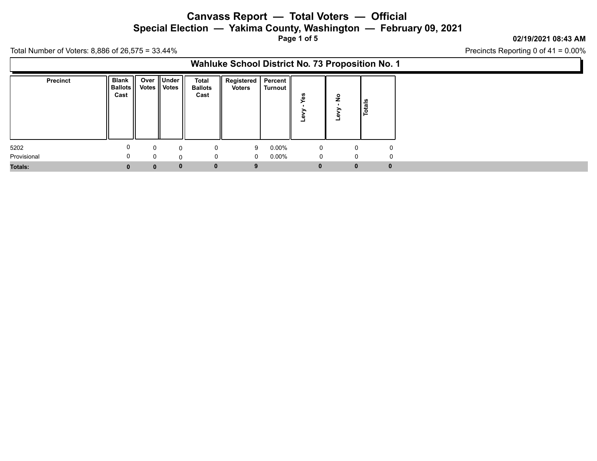**Special Election — Yakima County, Washington — February 09, 2021**

**Page 1 of 5**

### **02/19/2021 08:43 AM**

Precincts Reporting 0 of 41 = 0.00%

| Wahluke School District No. 73 Proposition No. 1 |                                        |                |            |                                 |                                  |          |              |                    |               |             |  |
|--------------------------------------------------|----------------------------------------|----------------|------------|---------------------------------|----------------------------------|----------|--------------|--------------------|---------------|-------------|--|
| <b>Precinct</b>                                  | <b>Blank</b><br><b>Ballots</b><br>Cast | Votes    Votes | Over Under | Total<br><b>Ballots</b><br>Cast | Registered   Percent  <br>Voters | Turnout  | u            | $\frac{1}{2}$<br>۳ | <b>Totals</b> |             |  |
| 5202                                             | 0                                      | $\Omega$       | 0          |                                 | 9                                | $0.00\%$ | 0            |                    | 0             | 0           |  |
| Provisional                                      |                                        | 0              | $\Omega$   |                                 | $\mathbf 0$                      | $0.00\%$ | 0            |                    | 0             | 0           |  |
| Totals:                                          | $\bf{0}$                               | $\bf{0}$       | $\bf{0}$   | 0                               | 9                                |          | $\mathbf{0}$ |                    | $\mathbf{0}$  | $\mathbf 0$ |  |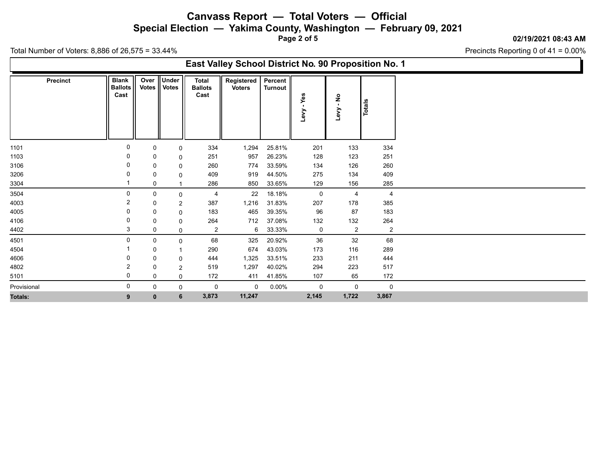**Special Election — Yakima County, Washington — February 09, 2021**

**Page 2 of 5**

#### **02/19/2021 08:43 AM**

Precincts Reporting 0 of 41 = 0.00%

| East Valley School District No. 90 Proposition No. 1 |                 |                                        |              |                            |                                        |                             |                           |                  |                                       |                       |  |
|------------------------------------------------------|-----------------|----------------------------------------|--------------|----------------------------|----------------------------------------|-----------------------------|---------------------------|------------------|---------------------------------------|-----------------------|--|
|                                                      | <b>Precinct</b> | <b>Blank</b><br><b>Ballots</b><br>Cast | Votes        | Over Under<br><b>Votes</b> | <b>Total</b><br><b>Ballots</b><br>Cast | Registered<br><b>Voters</b> | Percent<br><b>Turnout</b> | Yes<br>٠<br>Levy | $\frac{1}{2}$<br>$\mathbf{L}$<br>Levy | Totals                |  |
| 1101                                                 |                 | 0                                      | 0            | 0                          | 334                                    | 1,294                       | 25.81%                    | 201              | 133                                   | 334                   |  |
| 1103                                                 |                 |                                        | 0            | 0                          | 251                                    | 957                         | 26.23%                    | 128              | 123                                   | 251                   |  |
| 3106                                                 |                 |                                        | 0            | 0                          | 260                                    | 774                         | 33.59%                    | 134              | 126                                   | 260                   |  |
| 3206                                                 |                 |                                        | 0            | 0                          | 409                                    | 919                         | 44.50%                    | 275              | 134                                   | 409                   |  |
| 3304                                                 |                 |                                        | 0            |                            | 286                                    | 850                         | 33.65%                    | 129              | 156                                   | 285                   |  |
| 3504                                                 |                 | $\Omega$                               | 0            | 0                          | 4                                      | 22                          | 18.18%                    | $\mathbf 0$      | $\overline{4}$                        | 4                     |  |
| 4003                                                 |                 |                                        | 0            | $\overline{2}$             | 387                                    | 1,216                       | 31.83%                    | 207              | 178                                   | 385                   |  |
| 4005<br>4106                                         |                 | 0                                      | 0            | 0                          | 183<br>264                             | 465<br>712                  | 39.35%<br>37.08%          | 96<br>132        | 87                                    | 183                   |  |
| 4402                                                 |                 | 3                                      | 0<br>0       | 0<br>0                     | $\mathbf{2}$                           | 6                           | 33.33%                    | 0                | 132<br>$\overline{2}$                 | 264<br>$\overline{2}$ |  |
| 4501                                                 |                 | $\Omega$                               | 0            | 0                          | 68                                     | 325                         | 20.92%                    | 36               | 32                                    | 68                    |  |
| 4504                                                 |                 |                                        | 0            |                            | 290                                    | 674                         | 43.03%                    | 173              | 116                                   | 289                   |  |
| 4606                                                 |                 |                                        | 0            | 0                          | 444                                    | 1,325                       | 33.51%                    | 233              | 211                                   | 444                   |  |
| 4802                                                 |                 | 2                                      | 0            | $\overline{2}$             | 519                                    | 1,297                       | 40.02%                    | 294              | 223                                   | 517                   |  |
| 5101                                                 |                 | 0                                      | 0            | 0                          | 172                                    | 411                         | 41.85%                    | 107              | 65                                    | 172                   |  |
| Provisional                                          |                 | 0                                      | 0            | 0                          | 0                                      | 0                           | 0.00%                     | 0                | 0                                     | 0                     |  |
| Totals:                                              |                 | 9                                      | $\mathbf{0}$ | 6                          | 3,873                                  | 11,247                      |                           | 2,145            | 1,722                                 | 3,867                 |  |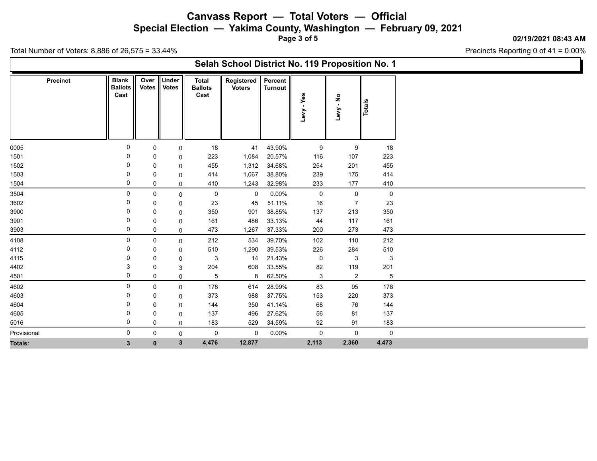**Special Election — Yakima County, Washington — February 09, 2021**

**Page 3 of 5**

#### **02/19/2021 08:43 AM**

Precincts Reporting 0 of 41 = 0.00%

| Selah School District No. 119 Proposition No. 1 |  |
|-------------------------------------------------|--|
|-------------------------------------------------|--|

| <b>Precinct</b> | <b>Blank</b><br><b>Ballots</b><br>Cast | Over<br><b>Votes</b> | Under<br><b>Votes</b> | <b>Total</b><br><b>Ballots</b><br>Cast | Registered<br><b>Voters</b> | Percent<br><b>Turnout</b> | Yes<br>Levy         | Levy - No           | <b>Totals</b>  |
|-----------------|----------------------------------------|----------------------|-----------------------|----------------------------------------|-----------------------------|---------------------------|---------------------|---------------------|----------------|
|                 |                                        |                      |                       |                                        |                             |                           |                     |                     |                |
| 0005            | 0                                      | 0                    | 0                     | 18                                     | 41                          | 43.90%                    | 9                   | 9                   | 18             |
| 1501            |                                        | 0                    | 0                     | 223                                    | 1,084                       | 20.57%                    | 116                 | 107                 | 223            |
| 1502            | 0                                      | 0                    | 0                     | 455                                    | 1,312                       | 34.68%                    | 254                 | 201                 | 455            |
| 1503            | 0                                      | 0                    | 0                     | 414                                    | 1,067                       | 38.80%                    | 239                 | 175                 | 414            |
| 1504            | 0                                      | 0                    | 0                     | 410                                    | 1,243                       | 32.98%                    | 233                 | 177                 | 410            |
| 3504            | 0                                      | 0                    | 0                     | $\mathbf 0$                            | $\mathsf{O}$                | $0.00\%$                  | $\mathsf{O}\xspace$ | $\mathsf 0$         | $\overline{0}$ |
| 3602            | 0                                      | 0                    | 0                     | 23                                     | 45                          | 51.11%                    | $16\,$              | $\overline{7}$      | 23             |
| 3900            | 0                                      | 0                    | 0                     | 350                                    | 901                         | 38.85%                    | 137                 | 213                 | 350            |
| 3901            | 0                                      | 0                    | 0                     | 161                                    | 486                         | 33.13%                    | 44                  | 117                 | 161            |
| 3903            | 0                                      | 0                    | 0                     | 473                                    | 1,267                       | 37.33%                    | 200                 | 273                 | 473            |
| 4108            | $\mathbf 0$                            | 0                    | $\mathbf 0$           | 212                                    | 534                         | 39.70%                    | 102                 | 110                 | 212            |
| 4112            | 0                                      | 0                    | 0                     | 510                                    | 1,290                       | 39.53%                    | 226                 | 284                 | 510            |
| 4115            | 0                                      | 0                    | 0                     | $\mathbf{3}$                           | 14                          | 21.43%                    | 0                   | 3                   | 3              |
| 4402            | 3                                      | 0                    | 3                     | 204                                    | 608                         | 33.55%                    | 82                  | 119                 | 201            |
| 4501            | 0                                      | 0                    | 0                     | 5                                      | 8                           | 62.50%                    | $\mathbf{3}$        | $\overline{c}$      | $\overline{5}$ |
| 4602            | $\mathbf 0$                            | 0                    | 0                     | 178                                    | 614                         | 28.99%                    | 83                  | 95                  | 178            |
| 4603            | 0                                      | 0                    | 0                     | 373                                    | 988                         | 37.75%                    | 153                 | 220                 | 373            |
| 4604            | 0                                      | 0                    | 0                     | 144                                    | 350                         | 41.14%                    | 68                  | 76                  | 144            |
| 4605            | 0                                      | 0                    | 0                     | 137                                    | 496                         | 27.62%                    | 56                  | 81                  | 137            |
| 5016            | $\Omega$                               | 0                    | $\mathbf 0$           | 183                                    | 529                         | 34.59%                    | 92                  | 91                  | 183            |
| Provisional     | 0                                      | 0                    | 0                     | $\pmb{0}$                              | $\mathbf 0$                 | $0.00\%$                  | $\mathsf{O}\xspace$ | $\mathsf{O}\xspace$ | $\mathbf 0$    |
| <b>Totals:</b>  | $3\phantom{a}$                         | $\mathbf{0}$         | $\mathbf{3}$          | 4,476                                  | 12,877                      |                           | 2,113               | 2,360               | 4,473          |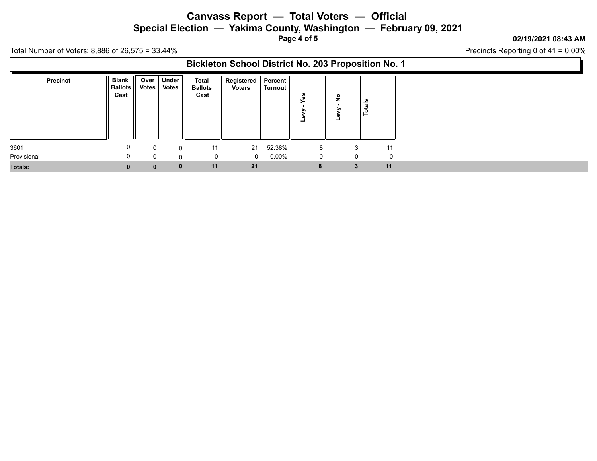**Special Election — Yakima County, Washington — February 09, 2021**

**Page 4 of 5**

### **02/19/2021 08:43 AM**

Precincts Reporting 0 of 41 = 0.00%

| <b>Bickleton School District No. 203 Proposition No. 1</b> |  |
|------------------------------------------------------------|--|
|------------------------------------------------------------|--|

| <b>Precinct</b> | Blank   |              | Over Under     | Total          | Registered   Percent |          |   |              |               |
|-----------------|---------|--------------|----------------|----------------|----------------------|----------|---|--------------|---------------|
|                 | Ballots |              | Votes    Votes | <b>Ballots</b> | <b>Voters</b>        | Turnout  |   |              |               |
|                 | Cast    |              |                | Cast           |                      |          | m | $\circ$<br>Ż |               |
|                 |         |              |                |                |                      |          |   |              | $\frac{1}{2}$ |
|                 |         |              |                |                |                      |          |   |              | ٩             |
|                 |         |              |                |                |                      |          |   | ۰            |               |
|                 |         |              |                |                |                      |          |   |              |               |
|                 |         |              |                |                |                      |          |   |              |               |
| 3601            | 0       | $\Omega$     | $\Omega$       | 11             | 21                   | 52.38%   | 8 | 3            | 11            |
|                 |         |              |                |                |                      |          |   |              |               |
| Provisional     |         | $\Omega$     | 0              |                | $\mathbf{0}$         | $0.00\%$ | 0 | 0            | $\Omega$      |
| Totals:         |         | $\mathbf{0}$ | $\mathbf{0}$   | 11             | 21                   |          | 8 | 3            | 11            |